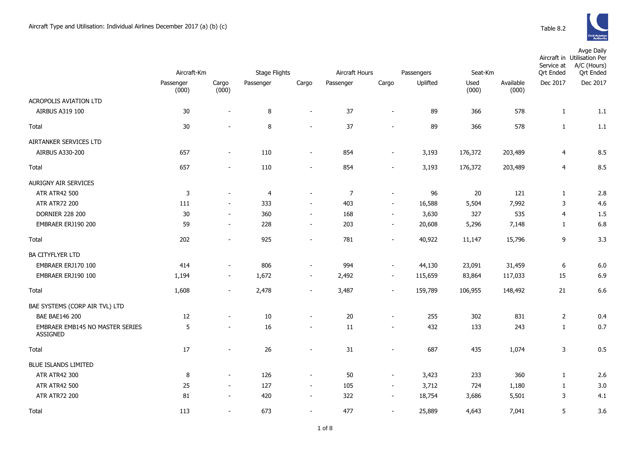

|                                                    | Aircraft-Km        |                          | <b>Stage Flights</b> |                          | Aircraft Hours |                          | Passengers | Seat-Km       |                    | Service at<br><b>Ort Ended</b> | Avge Daily<br>Aircraft in Utilisation Per<br>A/C (Hours)<br><b>Qrt Ended</b> |
|----------------------------------------------------|--------------------|--------------------------|----------------------|--------------------------|----------------|--------------------------|------------|---------------|--------------------|--------------------------------|------------------------------------------------------------------------------|
|                                                    | Passenger<br>(000) | Cargo<br>(000)           | Passenger            | Cargo                    | Passenger      | Cargo                    | Uplifted   | Used<br>(000) | Available<br>(000) | Dec 2017                       | Dec 2017                                                                     |
| <b>ACROPOLIS AVIATION LTD</b>                      |                    |                          |                      |                          |                |                          |            |               |                    |                                |                                                                              |
| AIRBUS A319 100                                    | 30                 | $\overline{\phantom{a}}$ | $\, 8$               | $\sim$                   | 37             | $\blacksquare$           | 89         | 366           | 578                | $\mathbf{1}$                   | 1.1                                                                          |
| Total                                              | 30                 |                          | 8                    | $\overline{\phantom{a}}$ | 37             |                          | 89         | 366           | 578                | $\mathbf{1}$                   | 1.1                                                                          |
| AIRTANKER SERVICES LTD                             |                    |                          |                      |                          |                |                          |            |               |                    |                                |                                                                              |
| AIRBUS A330-200                                    | 657                | $\sim$                   | 110                  | $\blacksquare$           | 854            | $\sim$                   | 3,193      | 176,372       | 203,489            | $\overline{4}$                 | 8.5                                                                          |
| Total                                              | 657                | $\overline{\phantom{a}}$ | 110                  | $\overline{\phantom{a}}$ | 854            | $\sim$                   | 3,193      | 176,372       | 203,489            | $\overline{4}$                 | 8.5                                                                          |
| <b>AURIGNY AIR SERVICES</b>                        |                    |                          |                      |                          |                |                          |            |               |                    |                                |                                                                              |
| <b>ATR ATR42 500</b>                               | $\mathsf 3$        | $\sim$                   | $\overline{4}$       | $\blacksquare$           | $\overline{7}$ | $\sim$                   | 96         | 20            | 121                | $\mathbf{1}$                   | 2.8                                                                          |
| <b>ATR ATR72 200</b>                               | 111                | $\sim$                   | 333                  | $\blacksquare$           | 403            | $\sim$                   | 16,588     | 5,504         | 7,992              | $\mathsf 3$                    | 4.6                                                                          |
| <b>DORNIER 228 200</b>                             | 30                 | $\blacksquare$           | 360                  | $\overline{\phantom{a}}$ | 168            | $\blacksquare$           | 3,630      | 327           | 535                | $\overline{4}$                 | 1.5                                                                          |
| EMBRAER ERJ190 200                                 | 59                 | $\overline{\phantom{a}}$ | 228                  | $\overline{\phantom{a}}$ | 203            | $\blacksquare$           | 20,608     | 5,296         | 7,148              | 1                              | 6.8                                                                          |
| Total                                              | 202                | $\blacksquare$           | 925                  | $\overline{\phantom{a}}$ | 781            |                          | 40,922     | 11,147        | 15,796             | 9                              | 3.3                                                                          |
| <b>BA CITYFLYER LTD</b>                            |                    |                          |                      |                          |                |                          |            |               |                    |                                |                                                                              |
| EMBRAER ERJ170 100                                 | 414                | $\sim$                   | 806                  | $\overline{\phantom{a}}$ | 994            | $\overline{\phantom{a}}$ | 44,130     | 23,091        | 31,459             | 6                              | 6.0                                                                          |
| EMBRAER ERJ190 100                                 | 1,194              | $\overline{\phantom{a}}$ | 1,672                | $\blacksquare$           | 2,492          | $\overline{\phantom{a}}$ | 115,659    | 83,864        | 117,033            | 15                             | 6.9                                                                          |
| Total                                              | 1,608              | $\overline{\phantom{a}}$ | 2,478                | $\overline{\phantom{a}}$ | 3,487          | $\blacksquare$           | 159,789    | 106,955       | 148,492            | 21                             | 6.6                                                                          |
| BAE SYSTEMS (CORP AIR TVL) LTD                     |                    |                          |                      |                          |                |                          |            |               |                    |                                |                                                                              |
| <b>BAE BAE146 200</b>                              | $12\,$             |                          | 10                   | $\overline{\phantom{a}}$ | 20             |                          | 255        | 302           | 831                | $\overline{2}$                 | 0.4                                                                          |
| EMBRAER EMB145 NO MASTER SERIES<br><b>ASSIGNED</b> | 5                  | $\sim$                   | 16                   | $\overline{\phantom{a}}$ | 11             |                          | 432        | 133           | 243                | 1                              | 0.7                                                                          |
| Total                                              | 17                 |                          | 26                   | $\overline{\phantom{a}}$ | 31             |                          | 687        | 435           | 1,074              | $\mathsf 3$                    | 0.5                                                                          |
| <b>BLUE ISLANDS LIMITED</b>                        |                    |                          |                      |                          |                |                          |            |               |                    |                                |                                                                              |
| <b>ATR ATR42 300</b>                               | 8                  | $\blacksquare$           | 126                  | $\blacksquare$           | 50             | $\sim$                   | 3,423      | 233           | 360                | $\mathbf{1}$                   | 2.6                                                                          |
| <b>ATR ATR42 500</b>                               | 25                 | $\sim$                   | 127                  | $\sim$                   | 105            | $\sim$                   | 3,712      | 724           | 1,180              | 1                              | 3.0                                                                          |
| <b>ATR ATR72 200</b>                               | 81                 | $\blacksquare$           | 420                  | $\overline{\phantom{a}}$ | 322            |                          | 18,754     | 3,686         | 5,501              | 3                              | 4.1                                                                          |
| Total                                              | 113                |                          | 673                  | $\blacksquare$           | 477            |                          | 25,889     | 4,643         | 7,041              | 5                              | 3.6                                                                          |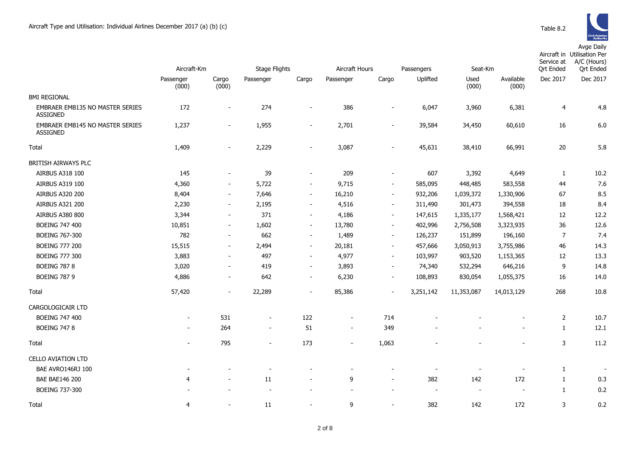Avge Daily

|                                                    | Aircraft-Km              |                          |                          | <b>Stage Flights</b>     |                          | Aircraft Hours           |                          | Passengers<br>Seat-Km    |                          | Service at<br><b>Qrt Ended</b> | Aircraft in Utilisation Per<br>A/C (Hours)<br><b>Qrt Ended</b> |
|----------------------------------------------------|--------------------------|--------------------------|--------------------------|--------------------------|--------------------------|--------------------------|--------------------------|--------------------------|--------------------------|--------------------------------|----------------------------------------------------------------|
|                                                    | Passenger<br>(000)       | Cargo<br>(000)           | Passenger                | Cargo                    | Passenger                | Cargo                    | Uplifted                 | Used<br>(000)            | Available<br>(000)       | Dec 2017                       | Dec 2017                                                       |
| <b>BMI REGIONAL</b>                                |                          |                          |                          |                          |                          |                          |                          |                          |                          |                                |                                                                |
| <b>EMBRAER EMB135 NO MASTER SERIES</b><br>ASSIGNED | 172                      | $\overline{\phantom{a}}$ | 274                      | $\overline{\phantom{a}}$ | 386                      | $\overline{\phantom{a}}$ | 6,047                    | 3,960                    | 6,381                    | 4                              | 4.8                                                            |
| EMBRAER EMB145 NO MASTER SERIES<br><b>ASSIGNED</b> | 1,237                    | $\overline{\phantom{a}}$ | 1,955                    | $\overline{\phantom{a}}$ | 2,701                    |                          | 39,584                   | 34,450                   | 60,610                   | 16                             | 6.0                                                            |
| Total                                              | 1,409                    |                          | 2,229                    |                          | 3,087                    |                          | 45,631                   | 38,410                   | 66,991                   | 20                             | 5.8                                                            |
| BRITISH AIRWAYS PLC                                |                          |                          |                          |                          |                          |                          |                          |                          |                          |                                |                                                                |
| AIRBUS A318 100                                    | 145                      | $\blacksquare$           | 39                       | $\blacksquare$           | 209                      | $\sim$                   | 607                      | 3,392                    | 4,649                    | 1                              | 10.2                                                           |
| AIRBUS A319 100                                    | 4,360                    | $\overline{\phantom{a}}$ | 5,722                    | $\overline{\phantom{a}}$ | 9,715                    | $\overline{\phantom{a}}$ | 585,095                  | 448,485                  | 583,558                  | 44                             | 7.6                                                            |
| <b>AIRBUS A320 200</b>                             | 8,404                    | $\overline{\phantom{a}}$ | 7,646                    | $\sim$                   | 16,210                   | $\sim$                   | 932,206                  | 1,039,372                | 1,330,906                | 67                             | 8.5                                                            |
| <b>AIRBUS A321 200</b>                             | 2,230                    | $\sim$                   | 2,195                    | $\sim$                   | 4,516                    | $\sim$                   | 311,490                  | 301,473                  | 394,558                  | 18                             | 8.4                                                            |
| <b>AIRBUS A380 800</b>                             | 3,344                    | $\overline{\phantom{a}}$ | 371                      | $\overline{\phantom{a}}$ | 4,186                    | $\overline{\phantom{a}}$ | 147,615                  | 1,335,177                | 1,568,421                | 12                             | 12.2                                                           |
| BOEING 747 400                                     | 10,851                   | $\overline{\phantom{a}}$ | 1,602                    | $\overline{\phantom{a}}$ | 13,780                   | $\overline{\phantom{a}}$ | 402,996                  | 2,756,508                | 3,323,935                | 36                             | 12.6                                                           |
| <b>BOEING 767-300</b>                              | 782                      | $\overline{\phantom{a}}$ | 662                      | $\sim$                   | 1,489                    | $\sim$                   | 126,237                  | 151,899                  | 196,160                  | $\overline{7}$                 | 7.4                                                            |
| <b>BOEING 777 200</b>                              | 15,515                   | $\overline{\phantom{a}}$ | 2,494                    | $\sim$                   | 20,181                   | $\sim$                   | 457,666                  | 3,050,913                | 3,755,986                | 46                             | 14.3                                                           |
| <b>BOEING 777 300</b>                              | 3,883                    | $\overline{\phantom{a}}$ | 497                      | $\blacksquare$           | 4,977                    | $\sim$                   | 103,997                  | 903,520                  | 1,153,365                | 12                             | 13.3                                                           |
| <b>BOEING 787 8</b>                                | 3,020                    | $\blacksquare$           | 419                      | $\overline{\phantom{a}}$ | 3,893                    | $\overline{\phantom{a}}$ | 74,340                   | 532,294                  | 646,216                  | 9                              | 14.8                                                           |
| <b>BOEING 787 9</b>                                | 4,886                    | $\overline{\phantom{a}}$ | 642                      | $\blacksquare$           | 6,230                    | $\sim$                   | 108,893                  | 830,054                  | 1,055,375                | 16                             | 14.0                                                           |
| Total                                              | 57,420                   | $\overline{\phantom{a}}$ | 22,289                   | $\overline{\phantom{a}}$ | 85,386                   | $\overline{\phantom{a}}$ | 3,251,142                | 11,353,087               | 14,013,129               | 268                            | 10.8                                                           |
| CARGOLOGICAIR LTD                                  |                          |                          |                          |                          |                          |                          |                          |                          |                          |                                |                                                                |
| BOEING 747 400                                     | $\overline{\phantom{a}}$ | 531                      | $\overline{\phantom{a}}$ | 122                      | $\overline{\phantom{a}}$ | 714                      |                          |                          |                          | $\overline{2}$                 | 10.7                                                           |
| <b>BOEING 747 8</b>                                | $\blacksquare$           | 264                      | $\sim$                   | 51                       | $\sim$                   | 349                      |                          |                          | $\overline{\phantom{a}}$ | 1                              | 12.1                                                           |
| Total                                              |                          | 795                      |                          | 173                      | $\overline{\phantom{a}}$ | 1,063                    |                          |                          |                          | 3                              | 11.2                                                           |
| <b>CELLO AVIATION LTD</b>                          |                          |                          |                          |                          |                          |                          |                          |                          |                          |                                |                                                                |
| BAE AVRO146RJ 100                                  |                          |                          |                          |                          |                          |                          | $\overline{\phantom{a}}$ |                          | $\overline{\phantom{a}}$ | $\mathbf{1}$                   |                                                                |
| <b>BAE BAE146 200</b>                              | 4                        |                          | 11                       | $\overline{\phantom{a}}$ | 9                        |                          | 382                      | 142                      | 172                      | 1                              | 0.3                                                            |
| BOEING 737-300                                     |                          |                          | $\overline{a}$           |                          | $\sim$                   |                          | $\sim$                   | $\overline{\phantom{a}}$ | $\sim$                   | 1                              | 0.2                                                            |
| Total                                              | $\overline{4}$           |                          | 11                       |                          | 9                        |                          | 382                      | 142                      | 172                      | 3                              | 0.2                                                            |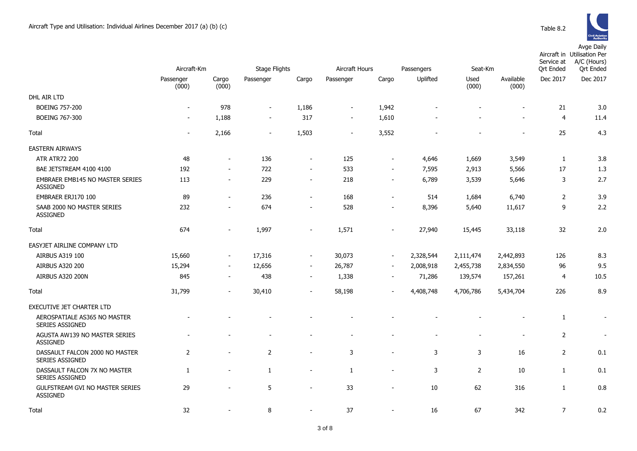

|                                                        | Aircraft-Km              |                          | <b>Stage Flights</b>     |                          | Aircraft Hours<br>Passengers |                          |           | Seat-Km        |                          | Service at<br><b>Qrt Ended</b> | Aircraft in Utilisation Per<br>A/C (Hours)<br><b>Qrt Ended</b> |
|--------------------------------------------------------|--------------------------|--------------------------|--------------------------|--------------------------|------------------------------|--------------------------|-----------|----------------|--------------------------|--------------------------------|----------------------------------------------------------------|
|                                                        | Passenger<br>(000)       | Cargo<br>(000)           | Passenger                | Cargo                    | Passenger                    | Cargo                    | Uplifted  | Used<br>(000)  | Available<br>(000)       | Dec 2017                       | Dec 2017                                                       |
| DHL AIR LTD                                            |                          |                          |                          |                          |                              |                          |           |                |                          |                                |                                                                |
| <b>BOEING 757-200</b>                                  | $\overline{\phantom{a}}$ | 978                      | $\overline{\phantom{a}}$ | 1,186                    | $\overline{\phantom{a}}$     | 1,942                    |           |                |                          | 21                             | 3.0                                                            |
| <b>BOEING 767-300</b>                                  | $\overline{\phantom{a}}$ | 1,188                    | $\blacksquare$           | 317                      | $\blacksquare$               | 1,610                    |           |                | $\overline{a}$           | $\overline{4}$                 | 11.4                                                           |
| Total                                                  | $\overline{\phantom{a}}$ | 2,166                    | $\overline{\phantom{a}}$ | 1,503                    | $\overline{\phantom{a}}$     | 3,552                    |           | $\sim$         | $\overline{\phantom{a}}$ | 25                             | 4.3                                                            |
| <b>EASTERN AIRWAYS</b>                                 |                          |                          |                          |                          |                              |                          |           |                |                          |                                |                                                                |
| <b>ATR ATR72 200</b>                                   | 48                       | $\overline{a}$           | 136                      | $\overline{\phantom{a}}$ | 125                          | $\overline{\phantom{a}}$ | 4,646     | 1,669          | 3,549                    | 1                              | 3.8                                                            |
| BAE JETSTREAM 4100 4100                                | 192                      | $\sim$                   | 722                      | $\blacksquare$           | 533                          | $\blacksquare$           | 7,595     | 2,913          | 5,566                    | 17                             | 1.3                                                            |
| EMBRAER EMB145 NO MASTER SERIES<br><b>ASSIGNED</b>     | 113                      | $\overline{\phantom{a}}$ | 229                      | $\blacksquare$           | 218                          | $\overline{\phantom{a}}$ | 6,789     | 3,539          | 5,646                    | 3                              | 2.7                                                            |
| EMBRAER ERJ170 100                                     | 89                       | $\sim$                   | 236                      | $\overline{a}$           | 168                          | $\blacksquare$           | 514       | 1,684          | 6,740                    | $\overline{2}$                 | 3.9                                                            |
| SAAB 2000 NO MASTER SERIES<br><b>ASSIGNED</b>          | 232                      | $\overline{a}$           | 674                      | $\blacksquare$           | 528                          | $\blacksquare$           | 8,396     | 5,640          | 11,617                   | 9                              | 2.2                                                            |
| Total                                                  | 674                      | $\blacksquare$           | 1,997                    | $\blacksquare$           | 1,571                        | $\blacksquare$           | 27,940    | 15,445         | 33,118                   | 32                             | 2.0                                                            |
| EASYJET AIRLINE COMPANY LTD                            |                          |                          |                          |                          |                              |                          |           |                |                          |                                |                                                                |
| AIRBUS A319 100                                        | 15,660                   | $\overline{\phantom{a}}$ | 17,316                   | $\overline{\phantom{a}}$ | 30,073                       | $\overline{\phantom{a}}$ | 2,328,544 | 2,111,474      | 2,442,893                | 126                            | 8.3                                                            |
| <b>AIRBUS A320 200</b>                                 | 15,294                   | $\overline{\phantom{a}}$ | 12,656                   | $\overline{\phantom{a}}$ | 26,787                       | $\overline{\phantom{a}}$ | 2,008,918 | 2,455,738      | 2,834,550                | 96                             | 9.5                                                            |
| <b>AIRBUS A320 200N</b>                                | 845                      | $\sim$                   | 438                      | $\overline{\phantom{a}}$ | 1,338                        | $\overline{\phantom{a}}$ | 71,286    | 139,574        | 157,261                  | $\overline{4}$                 | 10.5                                                           |
| Total                                                  | 31,799                   | $\overline{\phantom{a}}$ | 30,410                   | $\overline{\phantom{a}}$ | 58,198                       | $\blacksquare$           | 4,408,748 | 4,706,786      | 5,434,704                | 226                            | 8.9                                                            |
| EXECUTIVE JET CHARTER LTD                              |                          |                          |                          |                          |                              |                          |           |                |                          |                                |                                                                |
| AEROSPATIALE AS365 NO MASTER<br>SERIES ASSIGNED        |                          |                          |                          |                          |                              |                          |           |                |                          | 1                              | $\blacksquare$                                                 |
| AGUSTA AW139 NO MASTER SERIES<br><b>ASSIGNED</b>       |                          |                          |                          |                          |                              |                          |           |                | $\blacksquare$           | $\overline{2}$                 | $\overline{\phantom{a}}$                                       |
| DASSAULT FALCON 2000 NO MASTER<br>SERIES ASSIGNED      | $\overline{2}$           | $\overline{a}$           | $\overline{2}$           | $\blacksquare$           | 3                            | $\blacksquare$           | 3         | 3              | 16                       | $\overline{2}$                 | 0.1                                                            |
| DASSAULT FALCON 7X NO MASTER<br><b>SERIES ASSIGNED</b> | $\mathbf{1}$             | $\overline{a}$           | 1                        | $\overline{a}$           | 1                            | $\overline{\phantom{a}}$ | 3         | $\overline{2}$ | 10                       | $\mathbf{1}$                   | 0.1                                                            |
| GULFSTREAM GVI NO MASTER SERIES<br><b>ASSIGNED</b>     | 29                       |                          | 5                        | $\overline{a}$           | 33                           | $\overline{a}$           | 10        | 62             | 316                      | $\mathbf{1}$                   | 0.8                                                            |
| Total                                                  | 32                       | $\overline{\phantom{0}}$ | 8                        | $\sim$                   | 37                           | $\sim$                   | 16        | 67             | 342                      | $\overline{7}$                 | 0.2                                                            |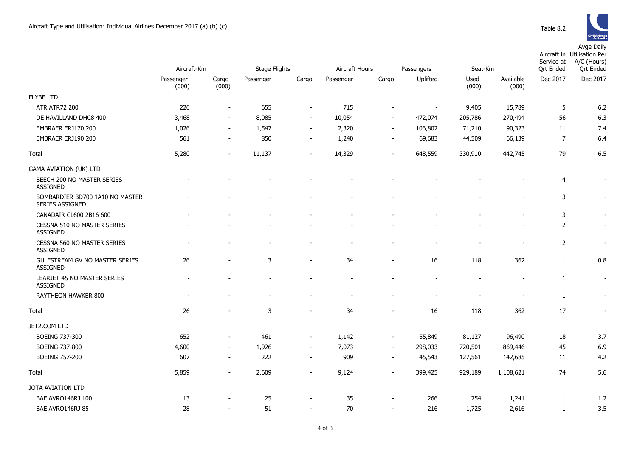

|                                                    | Aircraft-Km        |                          | <b>Stage Flights</b> |                          | Aircraft Hours<br>Passengers |                          |                          | Seat-Km       |                    | Service at<br><b>Qrt Ended</b> | Aircraft in Utilisation Per<br>A/C (Hours)<br><b>Ort Ended</b> |
|----------------------------------------------------|--------------------|--------------------------|----------------------|--------------------------|------------------------------|--------------------------|--------------------------|---------------|--------------------|--------------------------------|----------------------------------------------------------------|
|                                                    | Passenger<br>(000) | Cargo<br>(000)           | Passenger            | Cargo                    | Passenger                    | Cargo                    | Uplifted                 | Used<br>(000) | Available<br>(000) | Dec 2017                       | Dec 2017                                                       |
| <b>FLYBE LTD</b>                                   |                    |                          |                      |                          |                              |                          |                          |               |                    |                                |                                                                |
| <b>ATR ATR72 200</b>                               | 226                | $\overline{\phantom{a}}$ | 655                  | $\overline{\phantom{a}}$ | 715                          | $\blacksquare$           | $\overline{\phantom{a}}$ | 9,405         | 15,789             | 5                              | 6.2                                                            |
| DE HAVILLAND DHC8 400                              | 3,468              | $\overline{\phantom{a}}$ | 8,085                | $\overline{\phantom{a}}$ | 10,054                       | $\overline{\phantom{a}}$ | 472,074                  | 205,786       | 270,494            | 56                             | 6.3                                                            |
| EMBRAER ERJ170 200                                 | 1,026              | $\sim$                   | 1,547                | $\sim$                   | 2,320                        | $\sim$                   | 106,802                  | 71,210        | 90,323             | 11                             | 7.4                                                            |
| EMBRAER ERJ190 200                                 | 561                | $\sim$                   | 850                  | $\overline{\phantom{a}}$ | 1,240                        | $\overline{\phantom{a}}$ | 69,683                   | 44,509        | 66,139             | $\overline{7}$                 | 6.4                                                            |
| Total                                              | 5,280              | $\blacksquare$           | 11,137               | $\blacksquare$           | 14,329                       | $\blacksquare$           | 648,559                  | 330,910       | 442,745            | 79                             | 6.5                                                            |
| <b>GAMA AVIATION (UK) LTD</b>                      |                    |                          |                      |                          |                              |                          |                          |               |                    |                                |                                                                |
| BEECH 200 NO MASTER SERIES<br><b>ASSIGNED</b>      |                    |                          |                      |                          |                              |                          |                          |               |                    | $\overline{4}$                 |                                                                |
| BOMBARDIER BD700 1A10 NO MASTER<br>SERIES ASSIGNED |                    |                          |                      |                          |                              |                          |                          |               | $\blacksquare$     | 3                              | $\overline{\phantom{a}}$                                       |
| CANADAIR CL600 2B16 600                            |                    |                          |                      |                          |                              |                          |                          |               |                    | 3                              | $\sim$                                                         |
| CESSNA 510 NO MASTER SERIES<br><b>ASSIGNED</b>     |                    |                          |                      |                          |                              |                          |                          |               |                    | 2                              | $\blacksquare$                                                 |
| CESSNA 560 NO MASTER SERIES<br><b>ASSIGNED</b>     |                    |                          |                      |                          |                              |                          |                          |               |                    | 2                              | $\sim$                                                         |
| GULFSTREAM GV NO MASTER SERIES<br><b>ASSIGNED</b>  | 26                 | ÷,                       | 3                    | $\blacksquare$           | 34                           | $\blacksquare$           | 16                       | 118           | 362                | $\mathbf{1}$                   | 0.8                                                            |
| LEARJET 45 NO MASTER SERIES<br><b>ASSIGNED</b>     |                    |                          | ۰                    | ۰                        | ۰                            |                          |                          |               | ۰                  | 1                              | $\sim$                                                         |
| RAYTHEON HAWKER 800                                |                    |                          |                      |                          |                              |                          |                          |               |                    | 1                              | $\overline{\phantom{a}}$                                       |
| Total                                              | 26                 |                          | 3                    |                          | 34                           | ÷                        | 16                       | 118           | 362                | 17                             | $\sim$                                                         |
| JET2.COM LTD                                       |                    |                          |                      |                          |                              |                          |                          |               |                    |                                |                                                                |
| BOEING 737-300                                     | 652                | $\overline{\phantom{a}}$ | 461                  | $\overline{\phantom{a}}$ | 1,142                        | $\overline{\phantom{a}}$ | 55,849                   | 81,127        | 96,490             | 18                             | 3.7                                                            |
| <b>BOEING 737-800</b>                              | 4,600              | $\blacksquare$           | 1,926                | $\overline{\phantom{a}}$ | 7,073                        | $\sim$                   | 298,033                  | 720,501       | 869,446            | 45                             | 6.9                                                            |
| <b>BOEING 757-200</b>                              | 607                | $\blacksquare$           | 222                  | $\blacksquare$           | 909                          | $\overline{\phantom{a}}$ | 45,543                   | 127,561       | 142,685            | 11                             | 4.2                                                            |
| Total                                              | 5,859              | $\blacksquare$           | 2,609                | $\overline{\phantom{a}}$ | 9,124                        |                          | 399,425                  | 929,189       | 1,108,621          | 74                             | 5.6                                                            |
| JOTA AVIATION LTD                                  |                    |                          |                      |                          |                              |                          |                          |               |                    |                                |                                                                |
| BAE AVRO146RJ 100                                  | 13                 |                          | 25                   | $\overline{\phantom{a}}$ | 35                           | $\overline{a}$           | 266                      | 754           | 1,241              | 1                              | 1.2                                                            |
| BAE AVRO146RJ 85                                   | 28                 | $\overline{\phantom{a}}$ | 51                   | $\overline{\phantom{a}}$ | 70                           | $\overline{a}$           | 216                      | 1,725         | 2,616              | 1                              | 3.5                                                            |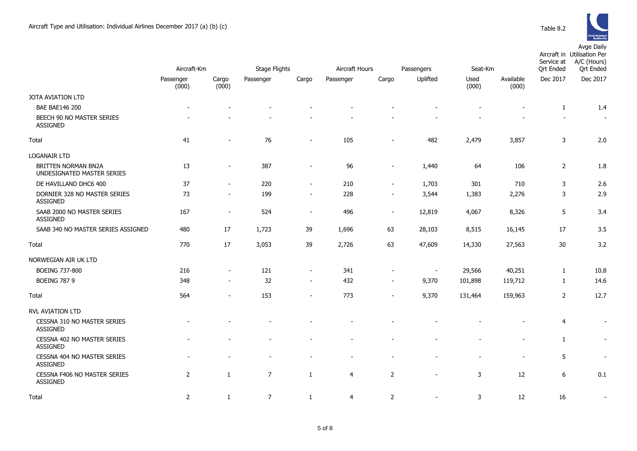Passenger



|                                                      |                                                      |                          |        |                          |                                                      |                               |                                                      |                                                      | . 2.2.3 3.4                                   | <b>Civil Aviation<br/>Authority</b>                                     |  |
|------------------------------------------------------|------------------------------------------------------|--------------------------|--------|--------------------------|------------------------------------------------------|-------------------------------|------------------------------------------------------|------------------------------------------------------|-----------------------------------------------|-------------------------------------------------------------------------|--|
| Aircraft-Km                                          |                                                      | Stage Flights            |        | Aircraft Hours           |                                                      | Passengers                    | Seat-Km                                              |                                                      | Aircraft in<br>Service at<br><b>Qrt Ended</b> | Avge Daily<br><b>Utilisation Per</b><br>A/C (Hours)<br><b>Qrt Ended</b> |  |
| enger<br>(000)                                       | Cargo<br>(000)                                       | Passenger                | Cargo  | Passenger                | Cargo                                                | Uplifted                      | Used<br>(000)                                        | Available<br>(000)                                   | Dec 2017                                      | Dec 2017                                                                |  |
| $\overline{\phantom{a}}$<br>$\overline{\phantom{a}}$ | $\overline{\phantom{a}}$<br>$\overline{\phantom{a}}$ | $\overline{\phantom{a}}$ | ۰<br>- | $\overline{\phantom{a}}$ | $\overline{\phantom{a}}$<br>$\overline{\phantom{a}}$ | -<br>$\overline{\phantom{a}}$ | $\overline{\phantom{0}}$<br>$\overline{\phantom{a}}$ | $\overline{\phantom{a}}$<br>$\overline{\phantom{a}}$ | 1<br>$\overline{\phantom{a}}$                 | 1.4<br>$\overline{\phantom{a}}$                                         |  |
| 41                                                   | $\overline{\phantom{a}}$                             | 76                       | $\sim$ | 105                      | $\overline{\phantom{a}}$                             | 482                           | 2,479                                                | 3,857                                                | 3                                             | 2.0                                                                     |  |
|                                                      |                                                      |                          |        |                          |                                                      |                               |                                                      |                                                      |                                               |                                                                         |  |

|                                                          | (000)                    | (000)                    |                |                          |       |                |                          | (000)   | (000)                    |                |                          |
|----------------------------------------------------------|--------------------------|--------------------------|----------------|--------------------------|-------|----------------|--------------------------|---------|--------------------------|----------------|--------------------------|
| JOTA AVIATION LTD                                        |                          |                          |                |                          |       |                |                          |         |                          |                |                          |
| <b>BAE BAE146 200</b>                                    | $\overline{\phantom{a}}$ |                          |                |                          |       |                |                          |         | $\overline{\phantom{a}}$ | $\mathbf{1}$   | 1.4                      |
| BEECH 90 NO MASTER SERIES<br><b>ASSIGNED</b>             |                          |                          |                |                          |       |                |                          |         |                          |                | $\sim$                   |
| Total                                                    | 41                       |                          | 76             | ۰                        | 105   |                | 482                      | 2,479   | 3,857                    | 3              | 2.0                      |
| <b>LOGANAIR LTD</b>                                      |                          |                          |                |                          |       |                |                          |         |                          |                |                          |
| <b>BRITTEN NORMAN BN2A</b><br>UNDESIGNATED MASTER SERIES | 13                       | $\blacksquare$           | 387            | $\overline{a}$           | 96    | $\sim$         | 1,440                    | 64      | 106                      | $\overline{2}$ | 1.8                      |
| DE HAVILLAND DHC6 400                                    | 37                       | $\blacksquare$           | 220            | $\sim$                   | 210   | $\sim$         | 1,703                    | 301     | 710                      | 3              | 2.6                      |
| DORNIER 328 NO MASTER SERIES<br><b>ASSIGNED</b>          | 73                       | $\sim$                   | 199            | $\overline{\phantom{a}}$ | 228   |                | 3,544                    | 1,383   | 2,276                    | 3              | 2.9                      |
| SAAB 2000 NO MASTER SERIES<br><b>ASSIGNED</b>            | 167                      | $\blacksquare$           | 524            | $\blacksquare$           | 496   | $\sim$         | 12,819                   | 4,067   | 8,326                    | 5              | 3.4                      |
| SAAB 340 NO MASTER SERIES ASSIGNED                       | 480                      | 17                       | 1,723          | 39                       | 1,696 | 63             | 28,103                   | 8,515   | 16,145                   | 17             | 3.5                      |
| Total                                                    | 770                      | 17                       | 3,053          | 39                       | 2,726 | 63             | 47,609                   | 14,330  | 27,563                   | 30             | 3.2                      |
| NORWEGIAN AIR UK LTD                                     |                          |                          |                |                          |       |                |                          |         |                          |                |                          |
| <b>BOEING 737-800</b>                                    | 216                      | $\blacksquare$           | 121            | $\overline{\phantom{a}}$ | 341   |                | $\overline{\phantom{a}}$ | 29,566  | 40,251                   | 1              | 10.8                     |
| <b>BOEING 787 9</b>                                      | 348                      | $\sim$                   | 32             | $\blacksquare$           | 432   | $\sim$         | 9,370                    | 101,898 | 119,712                  | $\mathbf{1}$   | 14.6                     |
| Total                                                    | 564                      | $\overline{\phantom{a}}$ | 153            | $\overline{\phantom{0}}$ | 773   |                | 9,370                    | 131,464 | 159,963                  | $\overline{2}$ | 12.7                     |
| RVL AVIATION LTD                                         |                          |                          |                |                          |       |                |                          |         |                          |                |                          |
| CESSNA 310 NO MASTER SERIES<br><b>ASSIGNED</b>           |                          |                          |                |                          |       |                |                          |         |                          | $\overline{4}$ | $\sim$                   |
| CESSNA 402 NO MASTER SERIES<br><b>ASSIGNED</b>           |                          |                          |                |                          |       |                |                          |         |                          | 1              | $\overline{\phantom{a}}$ |
| <b>CESSNA 404 NO MASTER SERIES</b><br><b>ASSIGNED</b>    |                          |                          |                |                          |       |                |                          |         | $\overline{\phantom{a}}$ | 5              | $\overline{\phantom{a}}$ |
| CESSNA F406 NO MASTER SERIES<br><b>ASSIGNED</b>          | $\overline{2}$           | 1                        | $\overline{7}$ | 1                        | 4     | $\overline{2}$ | $\blacksquare$           | 3       | 12                       | 6              | 0.1                      |
| Total                                                    | 2                        | 1                        | 7              | 1                        | 4     | $\overline{2}$ |                          | 3       | 12                       | 16             |                          |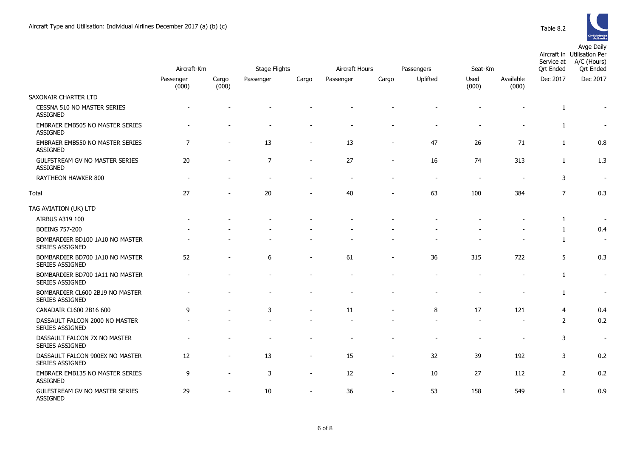

|                                                           | Aircraft-Km        |                          | Stage Flights  |                | <b>Aircraft Hours</b> | Seat-Km                  |                        | Service at<br><b>Ort Ended</b> | Aircraft in Utilisation Per<br>A/C (Hours)<br><b>Ort Ended</b> |                |                          |
|-----------------------------------------------------------|--------------------|--------------------------|----------------|----------------|-----------------------|--------------------------|------------------------|--------------------------------|----------------------------------------------------------------|----------------|--------------------------|
|                                                           | Passenger<br>(000) | Cargo<br>(000)           | Passenger      | Cargo          | Passenger             | Cargo                    | Passengers<br>Uplifted | Used<br>(000)                  | Available<br>(000)                                             | Dec 2017       | Dec 2017                 |
| SAXONAIR CHARTER LTD                                      |                    |                          |                |                |                       |                          |                        |                                |                                                                |                |                          |
| CESSNA 510 NO MASTER SERIES<br><b>ASSIGNED</b>            |                    |                          |                |                |                       |                          |                        |                                |                                                                | 1              |                          |
| EMBRAER EMB505 NO MASTER SERIES<br>ASSIGNED               |                    |                          |                |                |                       |                          |                        |                                |                                                                | $\mathbf{1}$   | $\overline{\phantom{a}}$ |
| EMBRAER EMB550 NO MASTER SERIES<br><b>ASSIGNED</b>        | $\overline{7}$     | $\overline{\phantom{0}}$ | 13             |                | 13                    |                          | 47                     | 26                             | 71                                                             | $\mathbf{1}$   | 0.8                      |
| GULFSTREAM GV NO MASTER SERIES<br><b>ASSIGNED</b>         | 20                 |                          | $\overline{7}$ |                | 27                    |                          | 16                     | 74                             | 313                                                            | 1              | 1.3                      |
| RAYTHEON HAWKER 800                                       |                    |                          |                |                |                       |                          |                        | $\overline{\phantom{a}}$       |                                                                | 3              | $\overline{\phantom{a}}$ |
| Total                                                     | 27                 |                          | 20             |                | 40                    |                          | 63                     | 100                            | 384                                                            | $\overline{7}$ | 0.3                      |
| TAG AVIATION (UK) LTD                                     |                    |                          |                |                |                       |                          |                        |                                |                                                                |                |                          |
| AIRBUS A319 100                                           |                    |                          |                |                |                       |                          |                        |                                |                                                                | $\mathbf{1}$   | $\overline{\phantom{a}}$ |
| <b>BOEING 757-200</b>                                     |                    |                          |                |                |                       |                          |                        |                                |                                                                | $\mathbf{1}$   | 0.4                      |
| BOMBARDIER BD100 1A10 NO MASTER<br>SERIES ASSIGNED        |                    |                          |                |                |                       |                          |                        |                                |                                                                | $\mathbf{1}$   | $\overline{\phantom{a}}$ |
| BOMBARDIER BD700 1A10 NO MASTER<br><b>SERIES ASSIGNED</b> | 52                 |                          | 6              |                | 61                    |                          | 36                     | 315                            | 722                                                            | 5              | 0.3                      |
| BOMBARDIER BD700 1A11 NO MASTER<br><b>SERIES ASSIGNED</b> |                    |                          |                |                |                       |                          |                        |                                | $\blacksquare$                                                 | $\mathbf{1}$   | $\overline{\phantom{a}}$ |
| BOMBARDIER CL600 2B19 NO MASTER<br>SERIES ASSIGNED        |                    |                          |                |                |                       |                          |                        |                                |                                                                | $\mathbf{1}$   | $\overline{\phantom{a}}$ |
| CANADAIR CL600 2B16 600                                   | 9                  |                          | 3              |                | 11                    |                          | 8                      | 17                             | 121                                                            | 4              | 0.4                      |
| DASSAULT FALCON 2000 NO MASTER<br>SERIES ASSIGNED         |                    |                          |                |                |                       |                          |                        |                                | $\blacksquare$                                                 | $\overline{2}$ | 0.2                      |
| DASSAULT FALCON 7X NO MASTER<br>SERIES ASSIGNED           |                    |                          |                |                |                       |                          |                        |                                |                                                                | 3              | $\overline{\phantom{a}}$ |
| DASSAULT FALCON 900EX NO MASTER<br>SERIES ASSIGNED        | 12                 |                          | 13             |                | 15                    |                          | 32                     | 39                             | 192                                                            | 3              | 0.2                      |
| EMBRAER EMB135 NO MASTER SERIES<br>ASSIGNED               | 9                  | $\blacksquare$           | 3              | $\sim$         | 12                    | $\overline{\phantom{a}}$ | 10                     | 27                             | 112                                                            | $\overline{2}$ | 0.2                      |
| GULFSTREAM GV NO MASTER SERIES<br><b>ASSIGNED</b>         | 29                 | $\overline{a}$           | 10             | $\blacksquare$ | 36                    | $\overline{\phantom{a}}$ | 53                     | 158                            | 549                                                            | $\mathbf{1}$   | 0.9                      |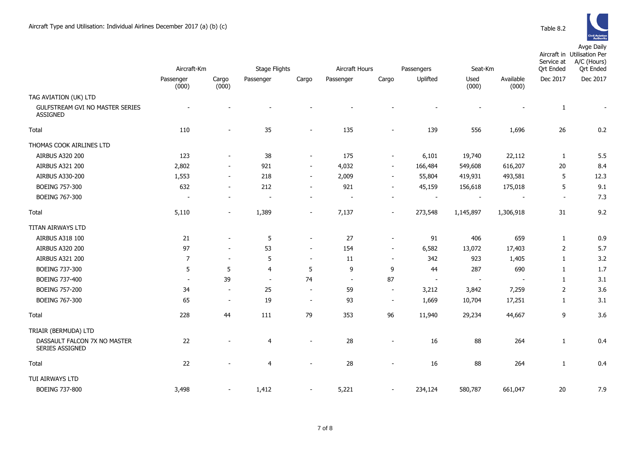

|                                                 | Aircraft-Km              |                          | Stage Flights  |                          | Aircraft Hours           |                          | Seat-Km<br>Passengers    |                          |                          | Service at<br><b>Qrt Ended</b> | Aircraft in Utilisation Per<br>A/C (Hours)<br><b>Qrt Ended</b> |
|-------------------------------------------------|--------------------------|--------------------------|----------------|--------------------------|--------------------------|--------------------------|--------------------------|--------------------------|--------------------------|--------------------------------|----------------------------------------------------------------|
|                                                 |                          |                          |                |                          |                          |                          |                          |                          |                          | Dec 2017                       |                                                                |
|                                                 | Passenger<br>(000)       | Cargo<br>(000)           | Passenger      | Cargo                    | Passenger                | Cargo                    | Uplifted                 | Used<br>(000)            | Available<br>(000)       |                                | Dec 2017                                                       |
| TAG AVIATION (UK) LTD                           |                          |                          |                |                          |                          |                          |                          |                          |                          |                                |                                                                |
| GULFSTREAM GVI NO MASTER SERIES<br>ASSIGNED     |                          |                          |                |                          |                          |                          |                          |                          |                          | $\mathbf{1}$                   |                                                                |
| Total                                           | 110                      |                          | 35             |                          | 135                      |                          | 139                      | 556                      | 1,696                    | 26                             | 0.2                                                            |
| THOMAS COOK AIRLINES LTD                        |                          |                          |                |                          |                          |                          |                          |                          |                          |                                |                                                                |
| AIRBUS A320 200                                 | 123                      | $\blacksquare$           | 38             | $\sim$                   | 175                      | $\sim$                   | 6,101                    | 19,740                   | 22,112                   | $\mathbf{1}$                   | 5.5                                                            |
| AIRBUS A321 200                                 | 2,802                    | $\overline{\phantom{a}}$ | 921            | $\overline{\phantom{a}}$ | 4,032                    | $\sim$                   | 166,484                  | 549,608                  | 616,207                  | 20                             | 8.4                                                            |
| AIRBUS A330-200                                 | 1,553                    | $\blacksquare$           | 218            | $\overline{\phantom{a}}$ | 2,009                    | $\sim$                   | 55,804                   | 419,931                  | 493,581                  | 5                              | 12.3                                                           |
| <b>BOEING 757-300</b>                           | 632                      | $\overline{\phantom{a}}$ | 212            | $\overline{\phantom{a}}$ | 921                      | $\sim$                   | 45,159                   | 156,618                  | 175,018                  | 5                              | 9.1                                                            |
| <b>BOEING 767-300</b>                           |                          | $\blacksquare$           |                |                          |                          |                          |                          |                          | $\overline{\phantom{a}}$ | $\overline{a}$                 | 7.3                                                            |
| Total                                           | 5,110                    | $\overline{\phantom{a}}$ | 1,389          | $\overline{\phantom{a}}$ | 7,137                    |                          | 273,548                  | 1,145,897                | 1,306,918                | 31                             | 9.2                                                            |
| TITAN AIRWAYS LTD                               |                          |                          |                |                          |                          |                          |                          |                          |                          |                                |                                                                |
| AIRBUS A318 100                                 | 21                       | $\blacksquare$           | 5              | $\sim$                   | 27                       | $\sim$                   | 91                       | 406                      | 659                      | $\mathbf{1}$                   | 0.9                                                            |
| AIRBUS A320 200                                 | 97                       | $\blacksquare$           | 53             | $\sim$                   | 154                      | $\sim$                   | 6,582                    | 13,072                   | 17,403                   | 2                              | 5.7                                                            |
| AIRBUS A321 200                                 | $\overline{7}$           |                          | 5              | $\overline{\phantom{a}}$ | 11                       |                          | 342                      | 923                      | 1,405                    | $\mathbf{1}$                   | 3.2                                                            |
| <b>BOEING 737-300</b>                           | 5                        | 5                        | 4              | 5                        | 9                        | 9                        | 44                       | 287                      | 690                      | $\mathbf{1}$                   | 1.7                                                            |
| BOEING 737-400                                  | $\overline{\phantom{a}}$ | 39                       | $\sim$         | 74                       | $\overline{\phantom{a}}$ | 87                       | $\overline{\phantom{a}}$ | $\overline{\phantom{a}}$ |                          | 1                              | 3.1                                                            |
| <b>BOEING 757-200</b>                           | 34                       | $\overline{\phantom{a}}$ | 25             | $\sim$                   | 59                       | $\sim$                   | 3,212                    | 3,842                    | 7,259                    | $\overline{2}$                 | 3.6                                                            |
| <b>BOEING 767-300</b>                           | 65                       | $\blacksquare$           | 19             | $\sim$                   | 93                       | $\overline{\phantom{a}}$ | 1,669                    | 10,704                   | 17,251                   | $\mathbf{1}$                   | 3.1                                                            |
| Total                                           | 228                      | 44                       | 111            | 79                       | 353                      | 96                       | 11,940                   | 29,234                   | 44,667                   | 9                              | 3.6                                                            |
| TRIAIR (BERMUDA) LTD                            |                          |                          |                |                          |                          |                          |                          |                          |                          |                                |                                                                |
| DASSAULT FALCON 7X NO MASTER<br>SERIES ASSIGNED | 22                       |                          | 4              | $\overline{\phantom{a}}$ | 28                       |                          | 16                       | 88                       | 264                      | $\mathbf{1}$                   | 0.4                                                            |
| Total                                           | 22                       |                          | $\overline{4}$ |                          | 28                       |                          | 16                       | 88                       | 264                      | $\mathbf{1}$                   | 0.4                                                            |
| TUI AIRWAYS LTD                                 |                          |                          |                |                          |                          |                          |                          |                          |                          |                                |                                                                |
| <b>BOEING 737-800</b>                           | 3,498                    | $\overline{\phantom{0}}$ | 1,412          | $\overline{\phantom{a}}$ | 5,221                    |                          | 234,124                  | 580,787                  | 661,047                  | 20                             | 7.9                                                            |